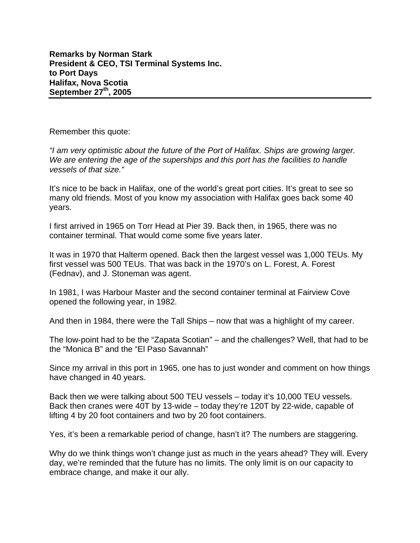Remember this quote:

*"I am very optimistic about the future of the Port of Halifax. Ships are growing larger. We are entering the age of the superships and this port has the facilities to handle vessels of that size."* 

It's nice to be back in Halifax, one of the world's great port cities. It's great to see so many old friends. Most of you know my association with Halifax goes back some 40 years.

I first arrived in 1965 on Torr Head at Pier 39. Back then, in 1965, there was no container terminal. That would come some five years later.

It was in 1970 that Halterm opened. Back then the largest vessel was 1,000 TEUs. My first vessel was 500 TEUs. That was back in the 1970's on L. Forest, A. Forest (Fednav), and J. Stoneman was agent.

In 1981, I was Harbour Master and the second container terminal at Fairview Cove opened the following year, in 1982.

And then in 1984, there were the Tall Ships – now that was a highlight of my career.

The low-point had to be the "Zapata Scotian" – and the challenges? Well, that had to be the "Monica B" and the "El Paso Savannah"

Since my arrival in this port in 1965, one has to just wonder and comment on how things have changed in 40 years.

Back then we were talking about 500 TEU vessels – today it's 10,000 TEU vessels. Back then cranes were 40T by 13-wide – today they're 120T by 22-wide, capable of lifting 4 by 20 foot containers and two by 20 foot containers.

Yes, it's been a remarkable period of change, hasn't it? The numbers are staggering.

Why do we think things won't change just as much in the years ahead? They will. Every day, we're reminded that the future has no limits. The only limit is on our capacity to embrace change, and make it our ally.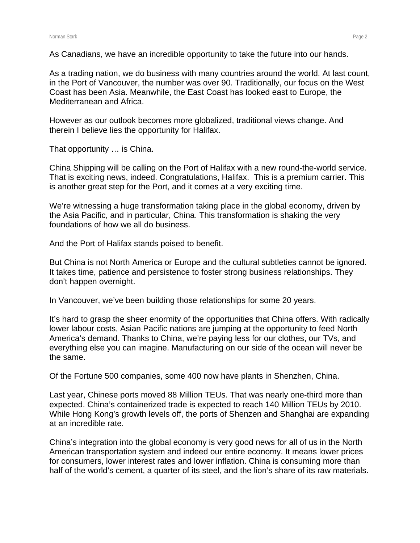As Canadians, we have an incredible opportunity to take the future into our hands.

As a trading nation, we do business with many countries around the world. At last count, in the Port of Vancouver, the number was over 90. Traditionally, our focus on the West Coast has been Asia. Meanwhile, the East Coast has looked east to Europe, the Mediterranean and Africa.

However as our outlook becomes more globalized, traditional views change. And therein I believe lies the opportunity for Halifax.

That opportunity … is China.

China Shipping will be calling on the Port of Halifax with a new round-the-world service. That is exciting news, indeed. Congratulations, Halifax. This is a premium carrier. This is another great step for the Port, and it comes at a very exciting time.

We're witnessing a huge transformation taking place in the global economy, driven by the Asia Pacific, and in particular, China. This transformation is shaking the very foundations of how we all do business.

And the Port of Halifax stands poised to benefit.

But China is not North America or Europe and the cultural subtleties cannot be ignored. It takes time, patience and persistence to foster strong business relationships. They don't happen overnight.

In Vancouver, we've been building those relationships for some 20 years.

It's hard to grasp the sheer enormity of the opportunities that China offers. With radically lower labour costs, Asian Pacific nations are jumping at the opportunity to feed North America's demand. Thanks to China, we're paying less for our clothes, our TVs, and everything else you can imagine. Manufacturing on our side of the ocean will never be the same.

Of the Fortune 500 companies, some 400 now have plants in Shenzhen, China.

Last year, Chinese ports moved 88 Million TEUs. That was nearly one-third more than expected. China's containerized trade is expected to reach 140 Million TEUs by 2010. While Hong Kong's growth levels off, the ports of Shenzen and Shanghai are expanding at an incredible rate.

China's integration into the global economy is very good news for all of us in the North American transportation system and indeed our entire economy. It means lower prices for consumers, lower interest rates and lower inflation. China is consuming more than half of the world's cement, a quarter of its steel, and the lion's share of its raw materials.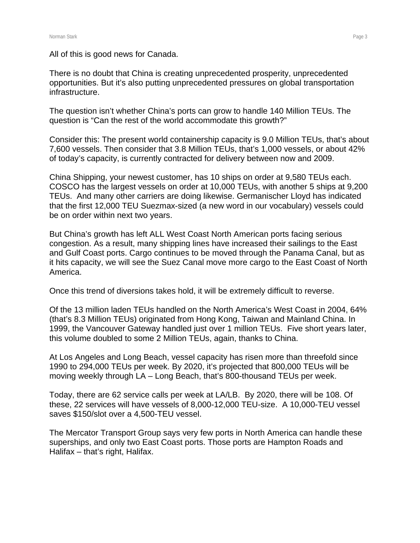All of this is good news for Canada.

There is no doubt that China is creating unprecedented prosperity, unprecedented opportunities. But it's also putting unprecedented pressures on global transportation infrastructure.

The question isn't whether China's ports can grow to handle 140 Million TEUs. The question is "Can the rest of the world accommodate this growth?"

Consider this: The present world containership capacity is 9.0 Million TEUs, that's about 7,600 vessels. Then consider that 3.8 Million TEUs, that's 1,000 vessels, or about 42% of today's capacity, is currently contracted for delivery between now and 2009.

China Shipping, your newest customer, has 10 ships on order at 9,580 TEUs each. COSCO has the largest vessels on order at 10,000 TEUs, with another 5 ships at 9,200 TEUs. And many other carriers are doing likewise. Germanischer Lloyd has indicated that the first 12,000 TEU Suezmax-sized (a new word in our vocabulary) vessels could be on order within next two years.

But China's growth has left ALL West Coast North American ports facing serious congestion. As a result, many shipping lines have increased their sailings to the East and Gulf Coast ports. Cargo continues to be moved through the Panama Canal, but as it hits capacity, we will see the Suez Canal move more cargo to the East Coast of North America.

Once this trend of diversions takes hold, it will be extremely difficult to reverse.

Of the 13 million laden TEUs handled on the North America's West Coast in 2004, 64% (that's 8.3 Million TEUs) originated from Hong Kong, Taiwan and Mainland China. In 1999, the Vancouver Gateway handled just over 1 million TEUs. Five short years later, this volume doubled to some 2 Million TEUs, again, thanks to China.

At Los Angeles and Long Beach, vessel capacity has risen more than threefold since 1990 to 294,000 TEUs per week. By 2020, it's projected that 800,000 TEUs will be moving weekly through LA – Long Beach, that's 800-thousand TEUs per week.

Today, there are 62 service calls per week at LA/LB. By 2020, there will be 108. Of these, 22 services will have vessels of 8,000-12,000 TEU-size. A 10,000-TEU vessel saves \$150/slot over a 4,500-TEU vessel.

The Mercator Transport Group says very few ports in North America can handle these superships, and only two East Coast ports. Those ports are Hampton Roads and Halifax – that's right, Halifax.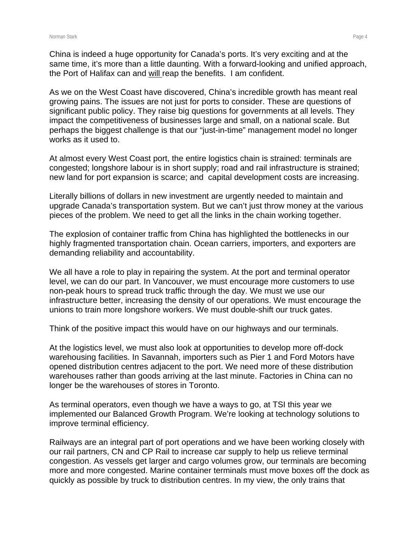China is indeed a huge opportunity for Canada's ports. It's very exciting and at the same time, it's more than a little daunting. With a forward-looking and unified approach, the Port of Halifax can and will reap the benefits. I am confident.

As we on the West Coast have discovered, China's incredible growth has meant real growing pains. The issues are not just for ports to consider. These are questions of significant public policy. They raise big questions for governments at all levels. They impact the competitiveness of businesses large and small, on a national scale. But perhaps the biggest challenge is that our "just-in-time" management model no longer works as it used to.

At almost every West Coast port, the entire logistics chain is strained: terminals are congested; longshore labour is in short supply; road and rail infrastructure is strained; new land for port expansion is scarce; and capital development costs are increasing.

Literally billions of dollars in new investment are urgently needed to maintain and upgrade Canada's transportation system. But we can't just throw money at the various pieces of the problem. We need to get all the links in the chain working together.

The explosion of container traffic from China has highlighted the bottlenecks in our highly fragmented transportation chain. Ocean carriers, importers, and exporters are demanding reliability and accountability.

We all have a role to play in repairing the system. At the port and terminal operator level, we can do our part. In Vancouver, we must encourage more customers to use non-peak hours to spread truck traffic through the day. We must we use our infrastructure better, increasing the density of our operations. We must encourage the unions to train more longshore workers. We must double-shift our truck gates.

Think of the positive impact this would have on our highways and our terminals.

At the logistics level, we must also look at opportunities to develop more off-dock warehousing facilities. In Savannah, importers such as Pier 1 and Ford Motors have opened distribution centres adjacent to the port. We need more of these distribution warehouses rather than goods arriving at the last minute. Factories in China can no longer be the warehouses of stores in Toronto.

As terminal operators, even though we have a ways to go, at TSI this year we implemented our Balanced Growth Program. We're looking at technology solutions to improve terminal efficiency.

Railways are an integral part of port operations and we have been working closely with our rail partners, CN and CP Rail to increase car supply to help us relieve terminal congestion. As vessels get larger and cargo volumes grow, our terminals are becoming more and more congested. Marine container terminals must move boxes off the dock as quickly as possible by truck to distribution centres. In my view, the only trains that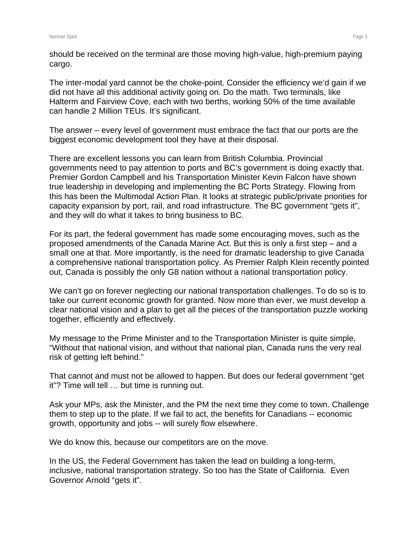should be received on the terminal are those moving high-value, high-premium paying cargo.

The inter-modal yard cannot be the choke-point. Consider the efficiency we'd gain if we did not have all this additional activity going on. Do the math. Two terminals, like Halterm and Fairview Cove, each with two berths, working 50% of the time available can handle 2 Million TEUs. It's significant.

The answer – every level of government must embrace the fact that our ports are the biggest economic development tool they have at their disposal.

There are excellent lessons you can learn from British Columbia. Provincial governments need to pay attention to ports and BC's government is doing exactly that. Premier Gordon Campbell and his Transportation Minister Kevin Falcon have shown true leadership in developing and implementing the BC Ports Strategy. Flowing from this has been the Multimodal Action Plan. It looks at strategic public/private priorities for capacity expansion by port, rail, and road infrastructure. The BC government "gets it", and they will do what it takes to bring business to BC.

For its part, the federal government has made some encouraging moves, such as the proposed amendments of the Canada Marine Act. But this is only a first step – and a small one at that. More importantly, is the need for dramatic leadership to give Canada a comprehensive national transportation policy. As Premier Ralph Klein recently pointed out, Canada is possibly the only G8 nation without a national transportation policy.

We can't go on forever neglecting our national transportation challenges. To do so is to take our current economic growth for granted. Now more than ever, we must develop a clear national vision and a plan to get all the pieces of the transportation puzzle working together, efficiently and effectively.

My message to the Prime Minister and to the Transportation Minister is quite simple, "Without that national vision, and without that national plan, Canada runs the very real risk of getting left behind."

That cannot and must not be allowed to happen. But does our federal government "get it"? Time will tell … but time is running out.

Ask your MPs, ask the Minister, and the PM the next time they come to town. Challenge them to step up to the plate. If we fail to act, the benefits for Canadians -- economic growth, opportunity and jobs -- will surely flow elsewhere.

We do know this, because our competitors are on the move.

In the US, the Federal Government has taken the lead on building a long-term, inclusive, national transportation strategy. So too has the State of California. Even Governor Arnold "gets it".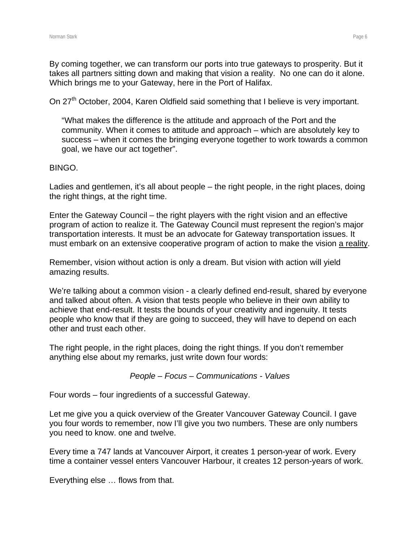By coming together, we can transform our ports into true gateways to prosperity. But it takes all partners sitting down and making that vision a reality. No one can do it alone. Which brings me to your Gateway, here in the Port of Halifax.

On 27<sup>th</sup> October, 2004, Karen Oldfield said something that I believe is very important.

"What makes the difference is the attitude and approach of the Port and the community. When it comes to attitude and approach – which are absolutely key to success – when it comes the bringing everyone together to work towards a common goal, we have our act together".

## BINGO.

Ladies and gentlemen, it's all about people – the right people, in the right places, doing the right things, at the right time.

Enter the Gateway Council – the right players with the right vision and an effective program of action to realize it. The Gateway Council must represent the region's major transportation interests. It must be an advocate for Gateway transportation issues. It must embark on an extensive cooperative program of action to make the vision a reality.

Remember, vision without action is only a dream. But vision with action will yield amazing results.

We're talking about a common vision - a clearly defined end-result, shared by everyone and talked about often. A vision that tests people who believe in their own ability to achieve that end-result. It tests the bounds of your creativity and ingenuity. It tests people who know that if they are going to succeed, they will have to depend on each other and trust each other.

The right people, in the right places, doing the right things. If you don't remember anything else about my remarks, just write down four words:

*People – Focus – Communications - Values* 

Four words – four ingredients of a successful Gateway.

Let me give you a quick overview of the Greater Vancouver Gateway Council. I gave you four words to remember, now I'll give you two numbers. These are only numbers you need to know. one and twelve.

Every time a 747 lands at Vancouver Airport, it creates 1 person-year of work. Every time a container vessel enters Vancouver Harbour, it creates 12 person-years of work.

Everything else … flows from that.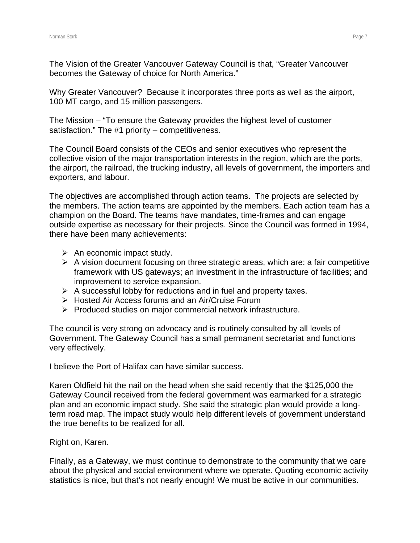The Vision of the Greater Vancouver Gateway Council is that, "Greater Vancouver becomes the Gateway of choice for North America."

Why Greater Vancouver? Because it incorporates three ports as well as the airport, 100 MT cargo, and 15 million passengers.

The Mission – "To ensure the Gateway provides the highest level of customer satisfaction." The #1 priority – competitiveness.

The Council Board consists of the CEOs and senior executives who represent the collective vision of the major transportation interests in the region, which are the ports, the airport, the railroad, the trucking industry, all levels of government, the importers and exporters, and labour.

The objectives are accomplished through action teams. The projects are selected by the members. The action teams are appointed by the members. Each action team has a champion on the Board. The teams have mandates, time-frames and can engage outside expertise as necessary for their projects. Since the Council was formed in 1994, there have been many achievements:

- $\triangleright$  An economic impact study.
- $\triangleright$  A vision document focusing on three strategic areas, which are: a fair competitive framework with US gateways; an investment in the infrastructure of facilities; and improvement to service expansion.
- $\triangleright$  A successful lobby for reductions and in fuel and property taxes.
- ¾ Hosted Air Access forums and an Air/Cruise Forum
- ¾ Produced studies on major commercial network infrastructure.

The council is very strong on advocacy and is routinely consulted by all levels of Government. The Gateway Council has a small permanent secretariat and functions very effectively.

I believe the Port of Halifax can have similar success.

Karen Oldfield hit the nail on the head when she said recently that the \$125,000 the Gateway Council received from the federal government was earmarked for a strategic plan and an economic impact study. She said the strategic plan would provide a longterm road map. The impact study would help different levels of government understand the true benefits to be realized for all.

Right on, Karen.

Finally, as a Gateway, we must continue to demonstrate to the community that we care about the physical and social environment where we operate. Quoting economic activity statistics is nice, but that's not nearly enough! We must be active in our communities.